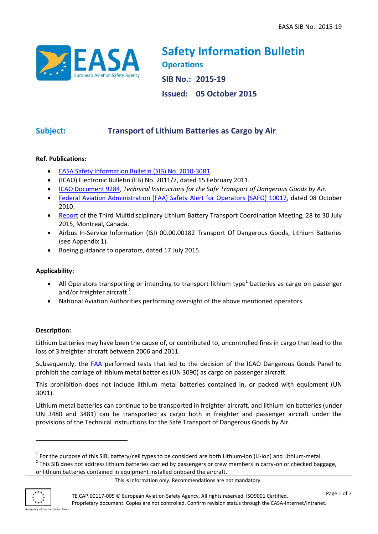

**Safety Information Bulletin Operations SIB No.: 2015-19 Issued: 05 October 2015**

# **Subject: Transport of Lithium Batteries as Cargo by Air**

# **Ref. Publications:**

- [EASA Safety Information Bulletin \(SIB\) No. 2010-30R1.](http://ad.easa.europa.eu/ad/2010-30R1)
- (ICAO) Electronic Bulletin (EB) No. 2011/7, dated 15 February 2011.
- [ICAO Document 9284,](http://www.icao.int/safety/DangerousGoods/Pages/technical-instructions.aspx) *Technical Instructions for the Safe Transport of Dangerous Goods by Air.*
- [Federal Aviation Administration \(FAA\) Safety Alert for Operators \(SAFO\) 10017,](https://www.faa.gov/other_visit/aviation_industry/airline_operators/airline_safety/safo/all_safos/media/2010/SAFO10017.pdf) dated 08 October 2010.
- [Report](http://www.icao.int/safety/DangerousGoods/Third%20International%20Multidisciplinary%20Lithium%20Batt/ICAO.LB.COORDINATION.3rdMeeting.Report.pdf) of the Third Multidisciplinary Lithium Battery Transport Coordination Meeting, 28 to 30 July 2015, Montreal, Canada.
- Airbus In-Service Information (ISI) 00.00.00182 Transport Of Dangerous Goods, Lithium Batteries (see Appendix 1).
- Boeing guidance to operators, dated 17 July 2015.

## **Applicability:**

- All Operators transporting or intending to transport lithium type<sup>1</sup> batteries as cargo on passenger and/or freighter aircraft.<sup>2</sup>
- National Aviation Authorities performing oversight of the above mentioned operators.

# **Description:**

Lithium batteries may have been the cause of, or contributed to, uncontrolled fires in cargo that lead to the loss of 3 freighter aircraft between 2006 and 2011.

Subsequently, the [FAA](http://www.fire.tc.faa.gov/systems/Lithium-Batteries) performed tests that led to the decision of the ICAO Dangerous Goods Panel to prohibit the carriage of lithium metal batteries (UN 3090) as cargo on passenger aircraft.

This prohibition does not include lithium metal batteries contained in, or packed with equipment (UN 3091).

Lithium metal batteries can continue to be transported in freighter aircraft, and lithium ion batteries (under UN 3480 and 3481) can be transported as cargo both in freighter and passenger aircraft under the provisions of the Technical Instructions for the Safe Transport of Dangerous Goods by Air.

<sup>2</sup> This SIB does not address lithium batteries carried by passengers or crew members in carry-on or checked baggage, or lithium batteries contained in equipment installed onboard the aircraft.



 $\overline{a}$ 

 $1$  For the purpose of this SIB, battery/cell types to be considerd are both Lithium-ion (Li-ion) and Lithium-metal.

This is information only. Recommendations are not mandatory.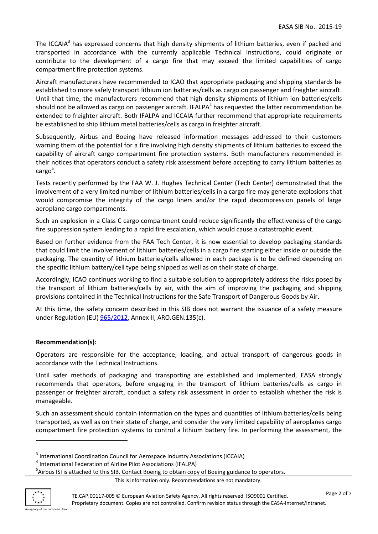The ICCAIA<sup>3</sup> has expressed concerns that high density shipments of lithium batteries, even if packed and transported in accordance with the currently applicable Technical Instructions, could originate or contribute to the development of a cargo fire that may exceed the limited capabilities of cargo compartment fire protection systems.

Aircraft manufacturers have recommended to ICAO that appropriate packaging and shipping standards be established to more safely transport lithium ion batteries/cells as cargo on passenger and freighter aircraft. Until that time, the manufacturers recommend that high density shipments of lithium ion batteries/cells should not be allowed as cargo on passenger aircraft. IFALPA<sup>4</sup> has requested the latter recommendation be extended to freighter aircraft. Both IFALPA and ICCAIA further recommend that appropriate requirements be established to ship lithium metal batteries/cells as cargo in freighter aircraft.

Subsequently, Airbus and Boeing have released information messages addressed to their customers warning them of the potential for a fire involving high density shipments of lithium batteries to exceed the capability of aircraft cargo compartment fire protection systems. Both manufacturers recommended in their notices that operators conduct a safety risk assessment before accepting to carry lithium batteries as cargo<sup>5</sup>.

Tests recently performed by the FAA W. J. Hughes Technical Center (Tech Center) demonstrated that the involvement of a very limited number of lithium batteries/cells in a cargo fire may generate explosions that would compromise the integrity of the cargo liners and/or the rapid decompression panels of large aeroplane cargo compartments.

Such an explosion in a Class C cargo compartment could reduce significantly the effectiveness of the cargo fire suppression system leading to a rapid fire escalation, which would cause a catastrophic event.

Based on further evidence from the FAA Tech Center, it is now essential to develop packaging standards that could limit the involvement of lithium batteries/cells in a cargo fire starting either inside or outside the packaging. The quantity of lithium batteries/cells allowed in each package is to be defined depending on the specific lithium battery/cell type being shipped as well as on their state of charge.

Accordingly, ICAO continues working to find a suitable solution to appropriately address the risks posed by the transport of lithium batteries/cells by air, with the aim of improving the packaging and shipping provisions contained in the Technical Instructions for the Safe Transport of Dangerous Goods by Air.

At this time, the safety concern described in this SIB does not warrant the issuance of a safety measure under Regulation (EU) [965/2012,](http://eur-lex.europa.eu/LexUriServ/LexUriServ.do?uri=OJ:L:2012:296:0001:0148:EN:PDF) Annex II, ARO.GEN.135(c).

# **Recommendation(s):**

Operators are responsible for the acceptance, loading, and actual transport of dangerous goods in accordance with the Technical Instructions.

Until safer methods of packaging and transporting are established and implemented, EASA strongly recommends that operators, before engaging in the transport of lithium batteries/cells as cargo in passenger or freighter aircraft, conduct a safety risk assessment in order to establish whether the risk is manageable.

Such an assessment should contain information on the types and quantities of lithium batteries/cells being transported, as well as on their state of charge, and consider the very limited capability of aeroplanes cargo compartment fire protection systems to control a lithium battery fire. In performing the assessment, the



 $\overline{a}$ 

<sup>&</sup>lt;sup>3</sup> International Coordination Council for Aerospace Industry Associations (ICCAIA)

<sup>4</sup> International Federation of Airline Pilot Associations (IFALPA)

<sup>&</sup>lt;sup>5</sup>Airbus ISI is attached to this SIB. Contact Boeing to obtain copy of Boeing guidance to operators.

This is information only. Recommendations are not mandatory.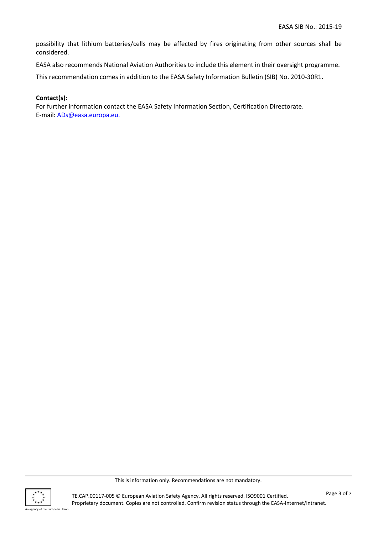possibility that lithium batteries/cells may be affected by fires originating from other sources shall be considered.

EASA also recommends National Aviation Authorities to include this element in their oversight programme.

This recommendation comes in addition to the EASA Safety Information Bulletin (SIB) No. 2010-30R1.

## **Contact(s):**

For further information contact the EASA Safety Information Section, Certification Directorate. E-mail: [ADs@easa.europa.eu.](mailto:ADs@easa.europa.eu)



This is information only. Recommendations are not mandatory.

TE.CAP.00117-005 © European Aviation Safety Agency. All rights reserved. ISO9001 Certified. Proprietary document. Copies are not controlled. Confirm revision status through the EASA-Internet/Intranet.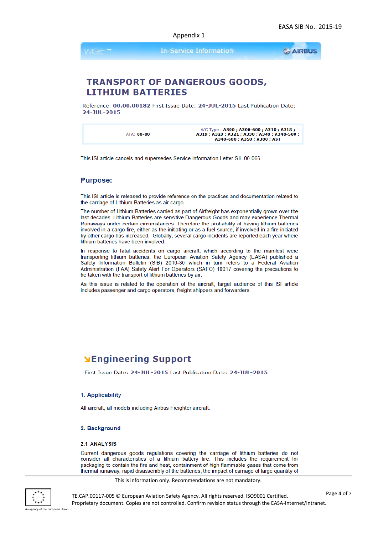Appendix 1

**In-Service Information** 

**GAIRBUS** 

# **TRANSPORT OF DANGEROUS GOODS, LITHIUM BATTERIES**

Reference: 00.00.00182 First Issue Date: 24-JUL-2015 Last Publication Date: 24-JUL-2015

A/C Type: A300; A300-600; A310; A318; A319; A320; A321; A330; A340; A340-500;<br>A340-600; A350; A380; A351 **ATA: 00-00** 

This ISI article cancels and supersedes Service Information Letter SIL 00-066.

## **Purpose:**

This ISI article is released to provide reference on the practices and documentation related to the carriage of Lithium Batteries as air cargo.

The number of Lithium Batteries carried as part of Airfreight has exponentially grown over the last decades. Lithium Batteries are sensitive Dangerous Goods and may experience Thermal Runaways under certain circumstances. Therefore the probability of having lithium batteries involved in a cargo fire, either as the initiating or as a fuel source, if involved in a fire initiated by other cargo has increased. Globally, several cargo incidents are reported each year where lithium batteries have been involved.

In response to fatal accidents on cargo aircraft, which according to the manifest were transporting lithium batteries, the European Aviation Safety Agency (EASA) published a Safety Information Bulletin (SIB) 2010-30 which in turn refers to a Federal Aviation Administration (FAA) Safety Alert For Operators (SAFO) 10017 covering the precautions to be taken with the transport of lithium batteries by air.

As this issue is related to the operation of the aircraft, target audience of this ISI article includes passenger and cargo operators, freight shippers and forwarders.

# **NEngineering Support**

First Issue Date: 24-JUL-2015 Last Publication Date: 24-JUL-2015

#### 1. Applicability

All aircraft, all models including Airbus Freighter aircraft.

#### 2. Background

#### 2.1 ANALYSIS

Current dangerous goods regulations covering the carriage of lithium batteries do not consider all characteristics of a lithium battery fire. This includes the requirement for packaging to contain the fire and heat, containment of high flammable gases that come from thermal runaway, rapid disassembly of the batteries, the impact of carriage of large quantity of

This is information only. Recommendations are not mandatory.

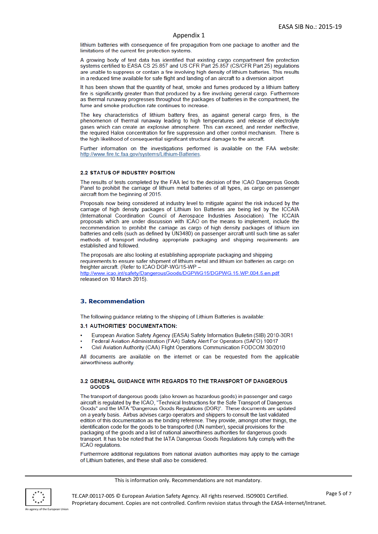#### Appendix 1

lithium batteries with consequence of fire propagation from one package to another and the limitations of the current fire protection systems.

A growing body of test data has identified that existing cargo compartment fire protection systems certified to EASA CS 25.857 and US CFR Part 25.857 (CS/CFR Part 25) regulations are unable to suppress or contain a fire involving high density of lithium batteries. This results in a reduced time available for safe flight and landing of an aircraft to a diversion airport

It has been shown that the quantity of heat, smoke and fumes produced by a lithium battery fire is significantly greater than that produced by a fire involving general cargo. Furthermore as thermal runaway progresses throughout the packages of batteries in the compartment, the fume and smoke production rate continues to increase.

The key characteristics of lithium battery fires, as against general cargo fires, is the phenomenon of thermal runaway leading to high temperatures and release of electrolyte gases which can create an explosive atmosphere. This can exceed, and render ineffective, the required Halon concentration for fire suppression and other control mechanism. There is the high likelihood of consequential significant structural damage to the aircraft.

Further information on the investigations performed is available on the FAA website: http://www.fire.tc.faa.gov/systems/Lithium-Batteries.

#### **2.2 STATUS OF INDUSTRY POSITION**

The results of tests completed by the FAA led to the decision of the ICAO Dangerous Goods Panel to prohibit the carriage of lithium metal batteries of all types, as cargo on passenger aircraft from the beginning of 2015.

Proposals now being considered at industry level to mitigate against the risk induced by the carriage of high density packages of Lithium Ion Batteries are being led by the ICCAIA (International Coordination Council of Aerospace Industries Association). The ICCAIA proposals which are under discussion with ICAO on the means to implement, include the recommendation to prohibit the carriage as cargo of high density packages of lithium ion batteries and cells (such as defined by UN3480) on passenger aircraft until such time as safer methods of transport including appropriate packaging and shipping requirements are established and followed

The proposals are also looking at establishing appropriate packaging and shipping requirements to ensure safer shipment of lithium metal and lithium ion batteries as cargo on freighter aircraft. (Refer to ICAO DGP-WG/15-WP http://www.icao.int/safety/DangerousGoods/DGPWG15/DGPWG.15.WP.004.5.en.pdf released on 10 March 2015).

#### **3. Recommendation**

The following guidance relating to the shipping of Lithium Batteries is available:

#### 3.1 AUTHORITIES' DOCUMENTATION:

- European Aviation Safety Agency (EASA) Safety Information Bulletin (SIB) 2010-30R1
- Federal Aviation Administration (FAA) Safety Alert For Operators (SAFO) 10017
- Civil Aviation Authority (CAA) Flight Operations Communication FODCOM 30/2010

All documents are available on the internet or can be requested from the applicable airworthiness authority.

#### 3.2 GENERAL GUIDANCE WITH REGARDS TO THE TRANSPORT OF DANGEROUS GOODS

The transport of dangerous goods (also known as hazardous goods) in passenger and cargo aircraft is regulated by the ICAO, "Technical Instructions for the Safe Transport of Dangerous Goods" and the IATA "Dangerous Goods Regulations (DGR)". These documents are updated on a yearly basis. Airbus advises cargo operators and shippers to consult the last validated edition of this documentation as the binding reference. They provide, amongst other things, the identification code for the goods to be transported (UN number), special provisions for the packaging of the goods and a list of national airworthiness authorities for dangerous goods transport. It has to be noted that the IATA Dangerous Goods Regulations fully comply with the ICAO regulations

Furthermore additional regulations from national aviation authorities may apply to the carriage of Lithium batteries, and these shall also be considered.

#### This is information only. Recommendations are not mandatory.

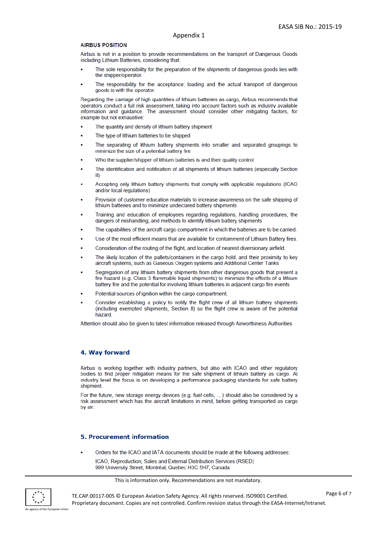#### **AIRBUS POSITION**

Airbus is not in a position to provide recommendations on the transport of Dangerous Goods including Lithium Batteries, considering that:

- The sole responsibility for the preparation of the shipments of dangerous goods lies with the shipper/operator.
- The responsibility for the acceptance, loading and the actual transport of dangerous goods is with the operator.

Regarding the carriage of high quantities of lithium batteries as cargo, Airbus recommends that operators conduct a full risk assessment, taking into account factors such as industry available information and guidance. The assessment should consider other mitigating factors, for example but not exhaustive:

- The quantity and density of lithium battery shipment
- The type of lithium batteries to be shipped
- The separating of lithium battery shipments into smaller and separated groupings to minimize the size of a potential battery fire
- Who the supplier/shipper of lithium batteries is and their quality control
- The identification and notification of all shipments of lithium batteries (especially Section -II)
- Accepting only lithium battery shipments that comply with applicable regulations (ICAO and/or local regulations)
- Provision of customer education materials to increase awareness on the safe shipping of lithium batteries and to minimize undeclared battery shipments
- Training and education of employees regarding regulations, handling procedures, the dangers of mishandling, and methods to identify lithium battery shipments
- The capabilities of the aircraft cargo compartment in which the batteries are to be carried.
- Use of the most efficient means that are available for containment of Lithium Battery fires.
- Consideration of the routing of the flight, and location of nearest diversionary airfield
- The likely location of the pallets/containers in the cargo hold, and their proximity to key aircraft systems, such as Gaseous Oxygen systems and Additional Center Tanks
- Segregation of any lithium battery shipments from other dangerous goods that present a fire hazard (e.g. Class 3 flammable liquid shipments) to minimize the effects of a lithium battery fire and the potential for involving lithium batteries in adjacent cargo fire events
- Potential sources of ignition within the cargo compartment.
- Consider establishing a policy to notify the flight crew of all lithium battery shipments (including exempted shipments, Section II) so the flight crew is aware of the potential hazard

Attention should also be given to latest information released through Airworthiness Authorities

### 4. Way forward

Airbus is working together with industry partners, but also with ICAO and other regulatory bodies to find proper mitigation means for the safe shipment of lithium battery as cargo. At industry level the focus is on developing a performance packaging standards for safe battery shipment.

For the future, new storage energy devices (e.g. fuel cells, ...) should also be considered by a risk assessment which has the aircraft limitations in mind, before getting transported as cargo by air.

### **5. Procurement information**

Orders for the ICAO and IATA documents should be made at the following addresses:

ICAO, Reproduction, Sales and External Distribution Services (RSED) 999 University Street, Montréal, Quebec H3C 5H7, Canada

This is information only. Recommendations are not mandatory.



TE.CAP.00117-005 © European Aviation Safety Agency. All rights reserved. ISO9001 Certified. Proprietary document. Copies are not controlled. Confirm revision status through the EASA-Internet/Intranet.